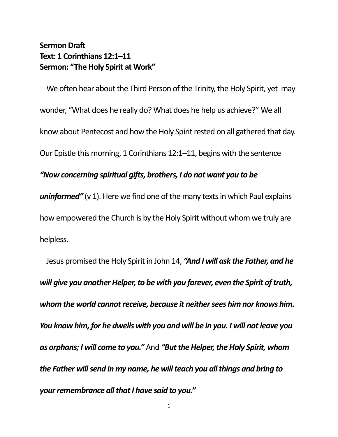## **Sermon Draft Text: 1 Corinthians 12:1–11 Sermon: "The Holy Spirit at Work"**

We often hear about the Third Person of the Trinity, the Holy Spirit, yet may wonder, "What does he really do? What does he help us achieve?" We all know about Pentecost and how the Holy Spirit rested on all gathered that day. Our Epistle this morning, 1 Corinthians 12:1–11, begins with the sentence

## *"Now concerning spiritual gifts, brothers, I do not want you to be*

**uninformed"** (v 1). Here we find one of the many texts in which Paul explains how empowered the Church is by the Holy Spirit without whom we truly are helpless.

Jesus promised the Holy Spirit in John 14, *"And I will ask the Father, and he will give you another Helper, to be with you forever, even the Spirit of truth, whom the world cannot receive, because it neither sees him nor knows him. You know him, for he dwells with you and will be in you. I will not leave you as orphans; I will come to you."* And *"But the Helper, the Holy Spirit, whom the Father will send in my name, he will teach you all things and bring to your remembrance all that I have said to you."*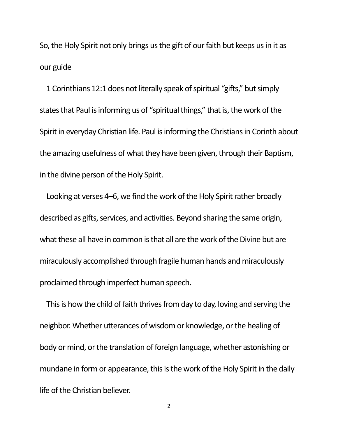So, the Holy Spirit not only brings us the gift of our faith but keeps us in it as our guide

1 Corinthians 12:1 does not literally speak of spiritual "gifts," but simply states that Paul is informing us of "spiritual things," that is, the work of the Spirit in everyday Christian life. Paul is informing the Christians in Corinth about the amazing usefulness of what they have been given, through their Baptism, in the divine person of the Holy Spirit.

Looking at verses 4–6, we find the work of the Holy Spirit rather broadly described as gifts, services, and activities. Beyond sharing the same origin, what these all have in common is that all are the work of the Divine but are miraculously accomplished through fragile human hands and miraculously proclaimed through imperfect human speech.

This is how the child of faith thrives from day to day, loving and serving the neighbor. Whether utterances of wisdom or knowledge, or the healing of body or mind, or the translation of foreign language, whether astonishing or mundane in form or appearance, this is the work of the Holy Spirit in the daily life of the Christian believer.

2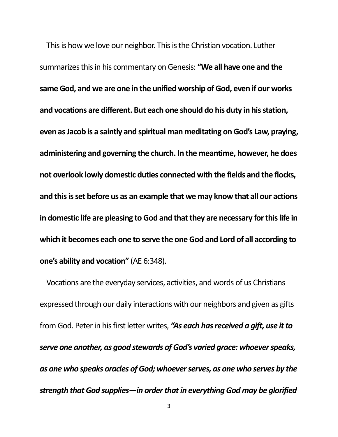This is how we love our neighbor. This is the Christian vocation. Luther summarizes this in his commentary on Genesis: **"We all have one and the same God, and we are one in the unified worship of God, even if our works and vocations are different. But each one should do his duty in his station, even as Jacob is a saintly and spiritual man meditating on God's Law, praying, administering and governing the church. In the meantime, however, he does not overlook lowly domestic duties connected with the fields and the flocks, and this is set before us as an example that we may know that all our actions in domestic life are pleasing to God and that they are necessary for this life in which it becomes each one to serve the one God and Lord of all according to one's ability and vocation"** (AE 6:348).

Vocations are the everyday services, activities, and words of us Christians expressed through our daily interactions with our neighbors and given as gifts from God. Peter in his first letter writes, *"As each has received a gift, use it to serve one another, as good stewards of God's varied grace: whoever speaks, as one who speaks oracles of God; whoever serves, as one who serves by the strength that God supplies—in order that in everything God may be glorified*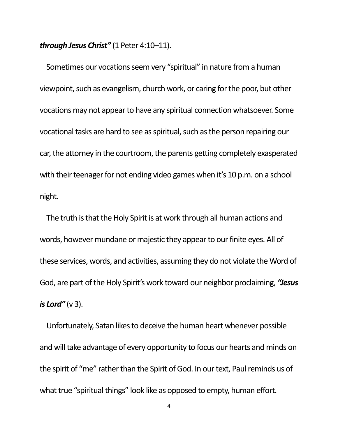*through Jesus Christ"* (1 Peter 4:10–11).

Sometimes our vocations seem very "spiritual" in nature from a human viewpoint, such as evangelism, church work, or caring for the poor, but other vocations may not appear to have any spiritual connection whatsoever. Some vocational tasks are hard to see as spiritual, such as the person repairing our car, the attorney in the courtroom, the parents getting completely exasperated with their teenager for not ending video games when it's 10 p.m. on a school night.

The truth is that the Holy Spirit is at work through all human actions and words, however mundane or majestic they appear to our finite eyes. All of these services, words, and activities, assuming they do not violate the Word of God, are part of the Holy Spirit's work toward our neighbor proclaiming, *"Jesus is Lord"* ( $\vee$  3).

Unfortunately, Satan likes to deceive the human heart whenever possible and will take advantage of every opportunity to focus our hearts and minds on the spirit of "me" rather than the Spirit of God. In our text, Paul reminds us of what true "spiritual things" look like as opposed to empty, human effort.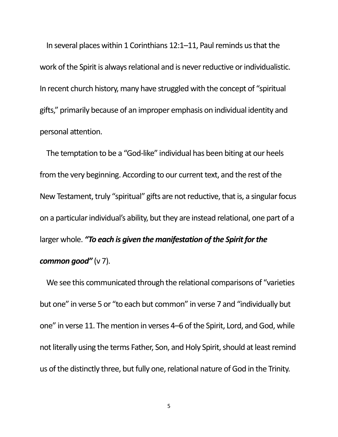In several places within 1 Corinthians 12:1–11, Paul reminds us that the work of the Spirit is always relational and is never reductive or individualistic. In recent church history, many have struggled with the concept of "spiritual gifts," primarily because of an improper emphasis on individual identity and personal attention.

The temptation to be a "God-like" individual has been biting at our heels from the very beginning. According to our current text, and the rest of the New Testament, truly "spiritual" gifts are not reductive, that is, a singular focus on a particular individual's ability, but they are instead relational, one part of a larger whole. *"To each is given the manifestation of the Spirit for the common good"* (v 7).

We see this communicated through the relational comparisons of "varieties but one" in verse 5 or "to each but common" in verse 7 and "individually but one" in verse 11. The mention in verses 4–6 of the Spirit, Lord, and God, while not literally using the terms Father, Son, and Holy Spirit, should at least remind us of the distinctly three, but fully one, relational nature of God in the Trinity.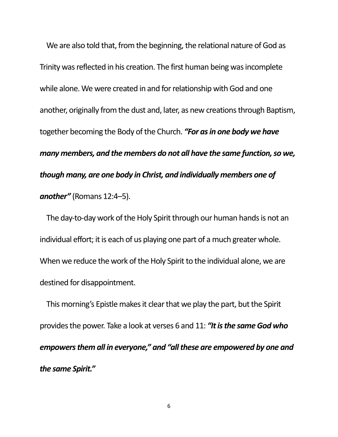We are also told that, from the beginning, the relational nature of God as Trinity was reflected in his creation. The first human being was incomplete while alone. We were created in and for relationship with God and one another, originally from the dust and, later, as new creations through Baptism, together becoming the Body of the Church. *"For as in one body we have many members, and the members do not all have the same function, so we, though many, are one body in Christ, and individually members one of another"* (Romans 12:4–5).

The day-to-day work of the Holy Spirit through our human hands is not an individual effort; it is each of us playing one part of a much greater whole. When we reduce the work of the Holy Spirit to the individual alone, we are destined for disappointment.

This morning's Epistle makes it clear that we play the part, but the Spirit provides the power. Take a look at verses 6 and 11: *"It is the same God who empowers them all in everyone," and "all these are empowered by one and the same Spirit."*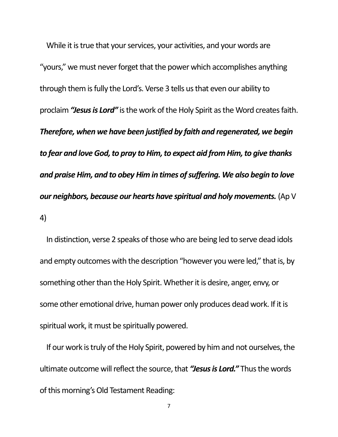While it is true that your services, your activities, and your words are "yours," we must never forget that the power which accomplishes anything through them is fully the Lord's. Verse 3 tells us that even our ability to proclaim *"Jesus is Lord"* is the work of the Holy Spirit as the Word creates faith. *Therefore, when we have been justified by faith and regenerated, we begin to fear and love God, to pray to Him, to expect aid from Him, to give thanks and praise Him, and to obey Him in times of suffering. We also begin to love our neighbors, because our hearts have spiritual and holy movements.* (Ap V 4)

In distinction, verse 2 speaks of those who are being led to serve dead idols and empty outcomes with the description "however you were led," that is, by something other than the Holy Spirit. Whether it is desire, anger, envy, or some other emotional drive, human power only produces dead work. If it is spiritual work, it must be spiritually powered.

If our work is truly of the Holy Spirit, powered by him and not ourselves, the ultimate outcome will reflect the source, that *"Jesus is Lord."* Thus the words of this morning's Old Testament Reading: